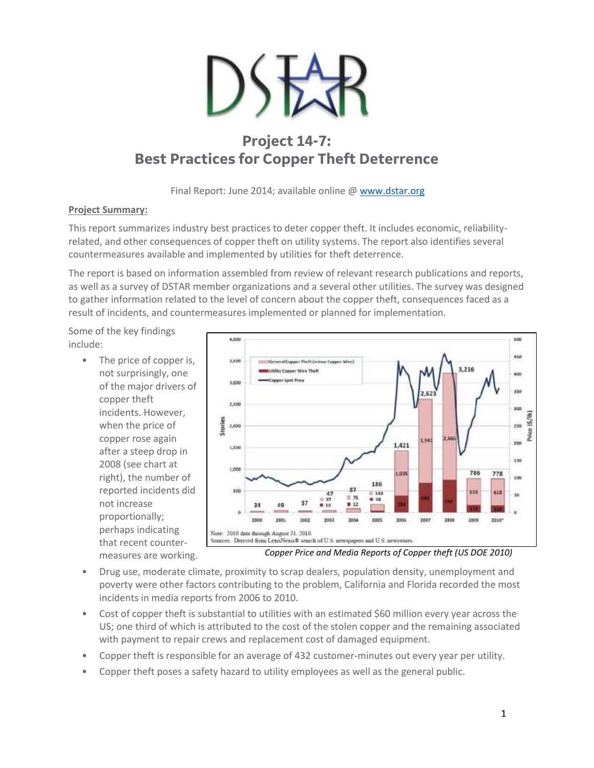

# **Project 14-7: Best Practices for Copper Theft Deterrence**

Final Report: June 2014; available online @ [www.dstar.org](http://www.dstar.org/research/project/99/P14-7-survey-of-best-practices-for-copper-theft-deterrence)

### **Project Summary:**

This report summarizes industry best practices to deter copper theft. It includes economic, reliabilityrelated, and other consequences of copper theft on utility systems. The report also identifies several countermeasures available and implemented by utilities for theft deterrence.

The report is based on information assembled from review of relevant research publications and reports, as well as a survey of DSTAR member organizations and a several other utilities. The survey was designed to gather information related to the level of concern about the copper theft, consequences faced as a result of incidents, and countermeasures implemented or planned for implementation.

Some of the key findings include:

> • The price of copper is, not surprisingly, one of the major drivers of copper theft incidents. However, when the price of copper rose again after a steep drop in 2008 (see chart at right), the number of reported incidents did not increase proportionally; perhaps indicating that recent countermeasures are working.



- *Copper Price and Media Reports of Copper theft (US DOE 2010)*
- Drug use, moderate climate, proximity to scrap dealers, population density, unemployment and poverty were other factors contributing to the problem, California and Florida recorded the most incidents in media reports from 2006 to 2010.
- Cost of copper theft is substantial to utilities with an estimated \$60 million every year across the US; one third of which is attributed to the cost of the stolen copper and the remaining associated with payment to repair crews and replacement cost of damaged equipment.
- Copper theft is responsible for an average of 432 customer-minutes out every year per utility.
- Copper theft poses a safety hazard to utility employees as well as the general public.